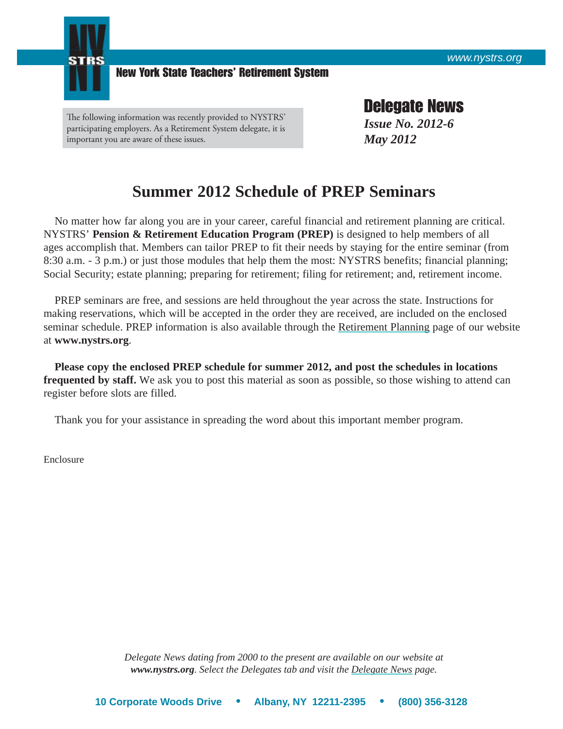

New York State Teachers' Retirement System

The following information was recently provided to NYSTRS' participating employers. As a Retirement System delegate, it is important you are aware of these issues.

Delegate News *Issue No. 2012-6 May 2012*

## **Summer 2012 Schedule of PREP Seminars**

 No matter how far along you are in your career, careful financial and retirement planning are critical. NYSTRS' **Pension & Retirement Education Program (PREP)** is designed to help members of all ages accomplish that. Members can tailor PREP to fit their needs by staying for the entire seminar (from 8:30 a.m. - 3 p.m.) or just those modules that help them the most: NYSTRS benefits; financial planning; Social Security; estate planning; preparing for retirement; filing for retirement; and, retirement income.

 PREP seminars are free, and sessions are held throughout the year across the state. Instructions for making reservations, which will be accepted in the order they are received, are included on the enclosed seminar schedule. PREP information is also available through the [Retirement Planning](https://www.nystrs.org/Retirement-Planning/Pension-Retirement-Education-Program) page of our website at **www.nystrs.org**.

**Please copy the enclosed PREP schedule for summer 2012, and post the schedules in locations frequented by staff.** We ask you to post this material as soon as possible, so those wishing to attend can register before slots are filled.

Thank you for your assistance in spreading the word about this important member program.

Enclosure

*Delegate News dating from 2000 to the present are available on our website at www.nystrs.org. Select the Delegates tab and visit the [Delegate News](https://www.nystrs.org/Delegates/Delegate-News) page.*